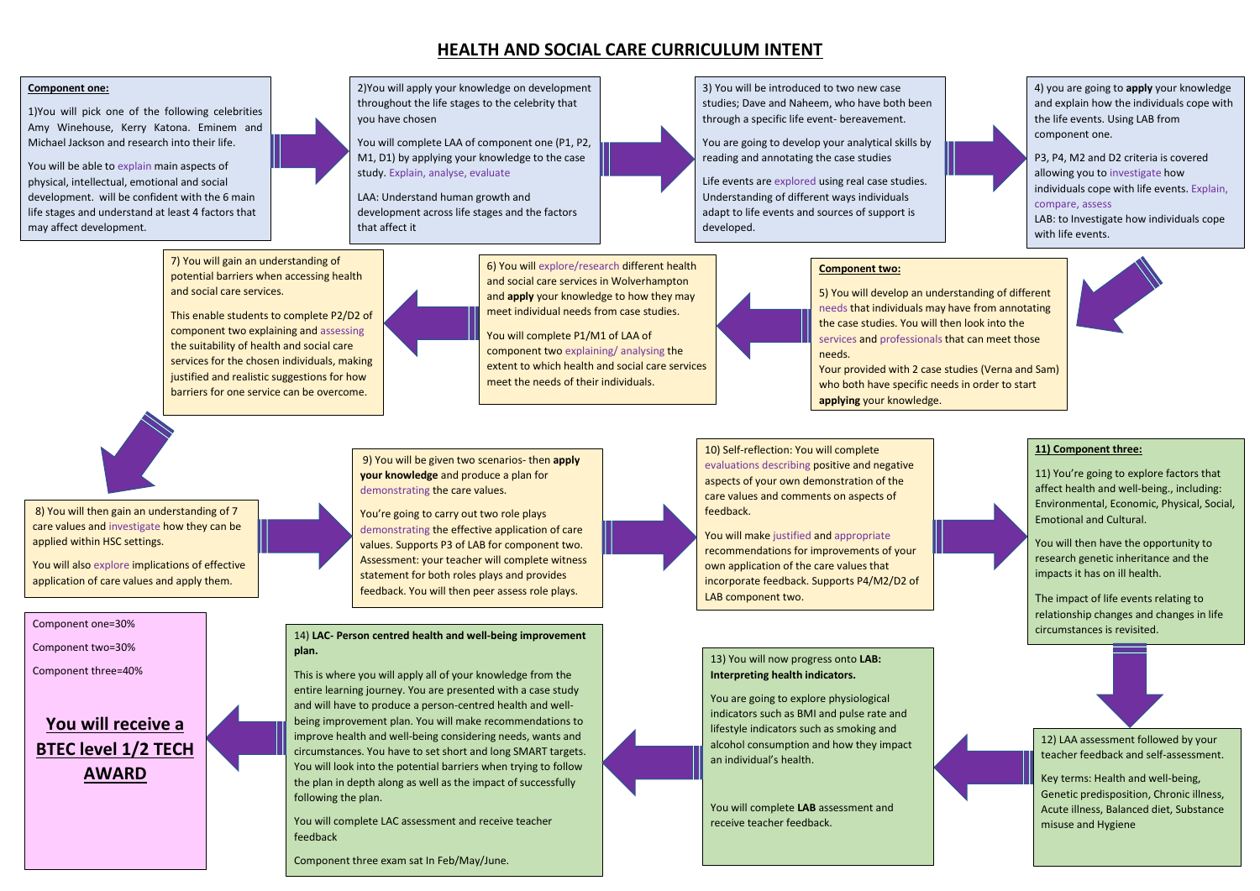## **HEALTH AND SOCIAL CARE CURRICULUM INTENT**

#### **Component one:**

1)You will pick one of the following celebrities Amy Winehouse, Kerry Katona. Eminem and Michael Jackson and research into their life.

. development. will be confident with the 6 main You will be able to explain main aspects of physical, intellectual, emotional and social life stages and understand at least 4 factors that may affect development.



2)You will apply your knowledge on development throughout the life stages to the celebrity that you have chosen

You will complete LAA of component one (P1, P2, M1, D1) by applying your knowledge to the case study. Explain, analyse, evaluate

LAA: Understand human growth and development across life stages and the factors that affect it

> needs that individuals may have from annotating the case studies. You will then look into the services and professionals that can meet those

3) You will be introduced to two new case studies; Dave and Naheem, who have both been through a specific life event- bereavement.

> who both have specific needs in order to start **applying** your knowledge.

You are going to develop your analytical skills by reading and annotating the case studies

Life events are explored using real case studies. Understanding of different ways individuals adapt to life events and sources of support is developed.

4) you are going to **apply** your knowledge and explain how the individuals cope with the life events. Using LAB from component one. P3, P4, M2 and D2 criteria is covered

allowing you to investigate how individuals cope with life events. Explain, compare, assess LAB: to Investigate how individuals cope with life events.

You will make justified and appropriate recommendations for improvements of your own application of the care values that incorporate feedback. Supports P4/M2/D2 of LAB component two.

**Component two:** 

8) You will then gain an understanding of 7 care values and investigate how they can be applied within HSC settings.

5) You will develop an understanding of different



Your provided with 2 case studies (Verna and Sam)



You're going to carry out two role plays demonstrating the effective application of care values. Supports P3 of LAB for component two. Assessment: your teacher will complete witness statement for both roles plays and provides feedback. You will then peer assess role plays.

6) You will explore/research different health and social care services in Wolverhampton and **apply** your knowledge to how they may meet individual needs from case studies.

You will complete P1/M1 of LAA of component two explaining/ analysing the extent to which health and social care services meet the needs of their individuals.

7) You will gain an understanding of potential barriers when accessing health and social care services.

This enable students to complete P2/D2 of component two explaining and assessing the suitability of health and social care services for the chosen individuals, making justified and realistic suggestions for how barriers for one service can be overcome.

> 10) Self-reflection: You will complete evaluations describing positive and negative aspects of your own demonstration of the care values and comments on aspects of feedback.

You will also explore implications of effective application of care values and apply them.

9) You will be given two scenarios- then **apply your knowledge** and produce a plan for demonstrating the care values.

#### **11) Component three:**

11) You're going to explore factors that affect health and well-being., including: Environmental, Economic, Physical, Social, Emotional and Cultural.

You will then have the opportunity to research genetic inheritance and the impacts it has on ill health.

The impact of life events relating to relationship changes and changes in life circumstances is revisited.



12) LAA assessment followed by your teacher feedback and self-assessment.

Key terms: Health and well-being, Genetic predisposition, Chronic illness, Acute illness, Balanced diet, Substance misuse and Hygiene

13) You will now progress onto **LAB: Interpreting health indicators.** 

You are going to explore physiological indicators such as BMI and pulse rate and lifestyle indicators such as smoking and alcohol consumption and how they impact an individual's health.

You will complete **LAB** assessment and receive teacher feedback.

14) **LAC- Person centred health and well-being improvement plan.**

This is where you will apply all of your knowledge from the entire learning journey. You are presented with a case study and will have to produce a person-centred health and wellbeing improvement plan. You will make recommendations to improve health and well-being considering needs, wants and circumstances. You have to set short and long SMART targets. You will look into the potential barriers when trying to follow the plan in depth along as well as the impact of successfully following the plan.

You will complete LAC assessment and receive teacher feedback

Component three exam sat In Feb/May/June.

Component one=30%

Component two=30%

Component three=40%

## **You will receive a BTEC level 1/2 TECH AWARD**